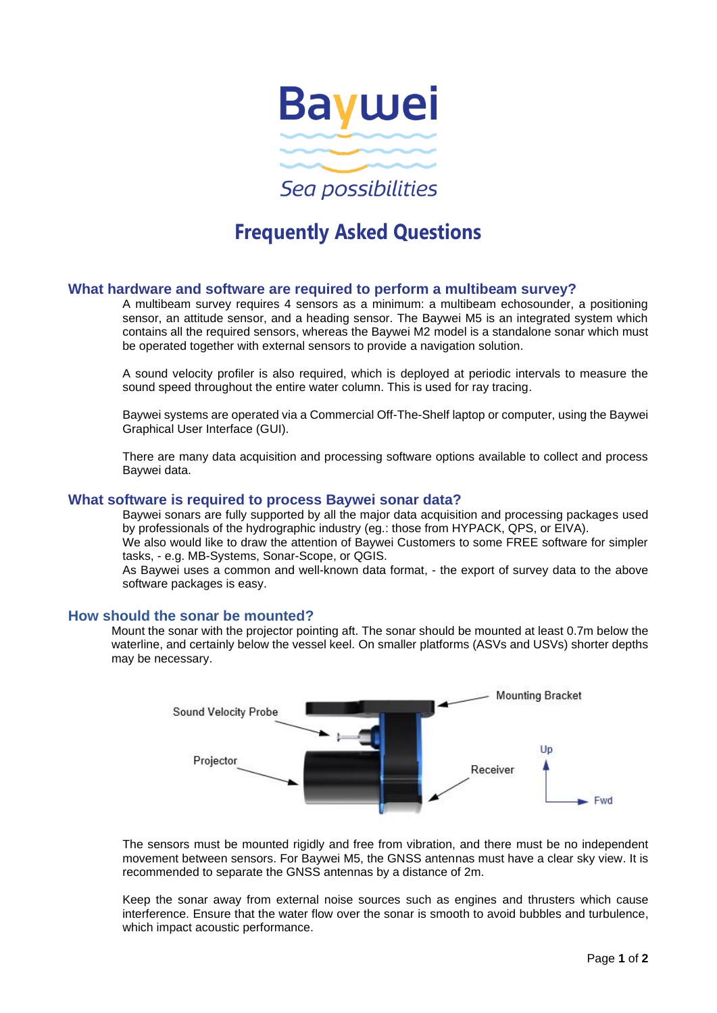

# **Frequently Asked Questions**

## **What hardware and software are required to perform a multibeam survey?**

A multibeam survey requires 4 sensors as a minimum: a multibeam echosounder, a positioning sensor, an attitude sensor, and a heading sensor. The Baywei M5 is an integrated system which contains all the required sensors, whereas the Baywei M2 model is a standalone sonar which must be operated together with external sensors to provide a navigation solution.

A sound velocity profiler is also required, which is deployed at periodic intervals to measure the sound speed throughout the entire water column. This is used for ray tracing.

Baywei systems are operated via a Commercial Off-The-Shelf laptop or computer, using the Baywei Graphical User Interface (GUI).

There are many data acquisition and processing software options available to collect and process Baywei data.

### **What software is required to process Baywei sonar data?**

Baywei sonars are fully supported by all the major data acquisition and processing packages used by professionals of the hydrographic industry (eg.: those from HYPACK, QPS, or EIVA).

We also would like to draw the attention of Baywei Customers to some FREE software for simpler tasks, - e.g. MB-Systems, Sonar-Scope, or QGIS.

As Baywei uses a common and well-known data format, - the export of survey data to the above software packages is easy.

#### **How should the sonar be mounted?**

Mount the sonar with the projector pointing aft. The sonar should be mounted at least 0.7m below the waterline, and certainly below the vessel keel. On smaller platforms (ASVs and USVs) shorter depths may be necessary.



The sensors must be mounted rigidly and free from vibration, and there must be no independent movement between sensors. For Baywei M5, the GNSS antennas must have a clear sky view. It is recommended to separate the GNSS antennas by a distance of 2m.

Keep the sonar away from external noise sources such as engines and thrusters which cause interference. Ensure that the water flow over the sonar is smooth to avoid bubbles and turbulence, which impact acoustic performance.